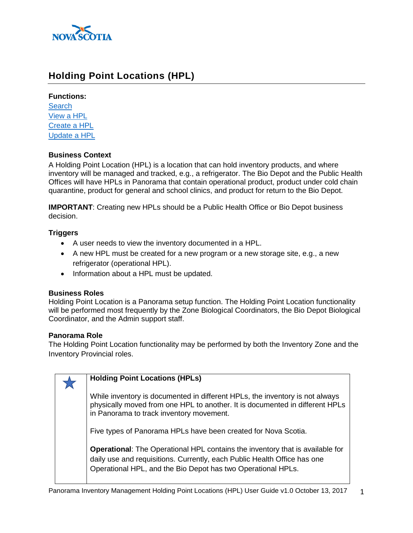

# **Holding Point Locations (HPL)**

#### **Functions:**

**[Search](#page-1-0)** [View a HPL](#page-4-0) [Create a HPL](#page-5-0) [Update a HPL](#page-8-0)

### **Business Context**

A Holding Point Location (HPL) is a location that can hold inventory products, and where inventory will be managed and tracked, e.g., a refrigerator. The Bio Depot and the Public Health Offices will have HPLs in Panorama that contain operational product, product under cold chain quarantine, product for general and school clinics, and product for return to the Bio Depot.

**IMPORTANT**: Creating new HPLs should be a Public Health Office or Bio Depot business decision.

## **Triggers**

- A user needs to view the inventory documented in a HPL.
- A new HPL must be created for a new program or a new storage site, e.g., a new refrigerator (operational HPL).
- Information about a HPL must be updated.

### **Business Roles**

Holding Point Location is a Panorama setup function. The Holding Point Location functionality will be performed most frequently by the Zone Biological Coordinators, the Bio Depot Biological Coordinator, and the Admin support staff.

### **Panorama Role**

The Holding Point Location functionality may be performed by both the Inventory Zone and the Inventory Provincial roles.

| <b>Holding Point Locations (HPLs)</b>                                                                                                                                                                                            |
|----------------------------------------------------------------------------------------------------------------------------------------------------------------------------------------------------------------------------------|
| While inventory is documented in different HPLs, the inventory is not always<br>physically moved from one HPL to another. It is documented in different HPLs<br>in Panorama to track inventory movement.                         |
| Five types of Panorama HPLs have been created for Nova Scotia.                                                                                                                                                                   |
| <b>Operational:</b> The Operational HPL contains the inventory that is available for<br>daily use and requisitions. Currently, each Public Health Office has one<br>Operational HPL, and the Bio Depot has two Operational HPLs. |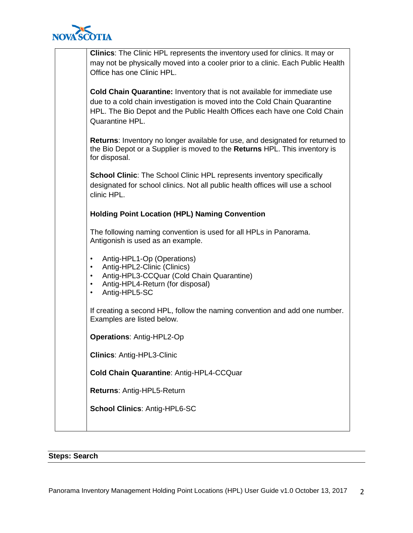

| <b>Clinics:</b> The Clinic HPL represents the inventory used for clinics. It may or<br>may not be physically moved into a cooler prior to a clinic. Each Public Health<br>Office has one Clinic HPL.                                                         |
|--------------------------------------------------------------------------------------------------------------------------------------------------------------------------------------------------------------------------------------------------------------|
| <b>Cold Chain Quarantine:</b> Inventory that is not available for immediate use<br>due to a cold chain investigation is moved into the Cold Chain Quarantine<br>HPL. The Bio Depot and the Public Health Offices each have one Cold Chain<br>Quarantine HPL. |
| <b>Returns:</b> Inventory no longer available for use, and designated for returned to<br>the Bio Depot or a Supplier is moved to the Returns HPL. This inventory is<br>for disposal.                                                                         |
| <b>School Clinic:</b> The School Clinic HPL represents inventory specifically<br>designated for school clinics. Not all public health offices will use a school<br>clinic HPL.                                                                               |
| <b>Holding Point Location (HPL) Naming Convention</b>                                                                                                                                                                                                        |
| The following naming convention is used for all HPLs in Panorama.<br>Antigonish is used as an example.                                                                                                                                                       |
| Antig-HPL1-Op (Operations)<br>$\bullet$<br>Antig-HPL2-Clinic (Clinics)<br>٠<br>Antig-HPL3-CCQuar (Cold Chain Quarantine)<br>٠<br>Antig-HPL4-Return (for disposal)<br>٠<br>Antig-HPL5-SC<br>٠                                                                 |
| If creating a second HPL, follow the naming convention and add one number.<br>Examples are listed below.                                                                                                                                                     |
| <b>Operations: Antig-HPL2-Op</b>                                                                                                                                                                                                                             |
| <b>Clinics: Antig-HPL3-Clinic</b>                                                                                                                                                                                                                            |
| Cold Chain Quarantine: Antig-HPL4-CCQuar                                                                                                                                                                                                                     |
| Returns: Antig-HPL5-Return                                                                                                                                                                                                                                   |
| <b>School Clinics: Antig-HPL6-SC</b>                                                                                                                                                                                                                         |
|                                                                                                                                                                                                                                                              |

# <span id="page-1-0"></span>**Steps: Search**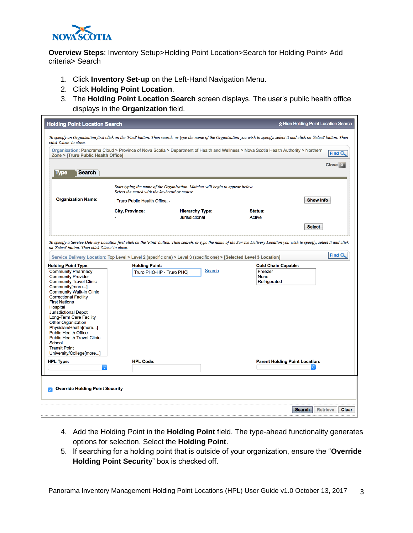

**Overview Steps**: Inventory Setup>Holding Point Location>Search for Holding Point> Add criteria> Search

- 1. Click **Inventory Set-up** on the Left-Hand Navigation Menu.
- 2. Click **Holding Point Location**.
- 3. The **Holding Point Location Search** screen displays. The user's public health office displays in the **Organization** field.

| <b>Holding Point Location Search</b>                                                                   |                                                   |                                                                                |                                                                                                                                                                                  | A Hide Holding Point Location Search      |
|--------------------------------------------------------------------------------------------------------|---------------------------------------------------|--------------------------------------------------------------------------------|----------------------------------------------------------------------------------------------------------------------------------------------------------------------------------|-------------------------------------------|
| click 'Close' to close.                                                                                |                                                   |                                                                                | To specify an Organization first click on the 'Find' button. Then search, or type the name of the Organization you wish to specify, select it and click on 'Select' button. Then |                                           |
| Zone > [Truro Public Health Office]                                                                    |                                                   |                                                                                | Organization: Panorama Cloud > Province of Nova Scotia > Department of Health and Wellness > Nova Scotia Health Authority > Northern                                             | <b>Find C</b>                             |
| <b>Search</b><br><b>ype</b>                                                                            |                                                   |                                                                                |                                                                                                                                                                                  | <b>Close</b>                              |
|                                                                                                        | Select the match with the keyboard or mouse.      | Start typing the name of the Organization. Matches will begin to appear below. |                                                                                                                                                                                  |                                           |
| <b>Organization Name:</b>                                                                              | Truro Public Health Office, -                     |                                                                                |                                                                                                                                                                                  | <b>Show Info</b>                          |
|                                                                                                        | <b>City, Province:</b>                            | <b>Hierarchy Type:</b><br><b>Jurisdictional</b>                                | Status:<br>Active                                                                                                                                                                |                                           |
|                                                                                                        |                                                   |                                                                                |                                                                                                                                                                                  | <b>Select</b>                             |
| <b>Community Provider</b><br><b>Community Travel Clinic</b><br>Community[more]                         |                                                   |                                                                                | <b>None</b><br>Refrigerated                                                                                                                                                      |                                           |
| <b>Holding Point Type:</b><br><b>Community Pharmacy</b>                                                | <b>Holding Point:</b><br>Truro PHO-HP - Truro PHO | <b>Search</b>                                                                  | <b>Cold Chain Capable:</b><br>Freezer                                                                                                                                            |                                           |
| <b>Community Walk-in Clinic</b><br><b>Correctional Facility</b><br><b>First Nations</b>                |                                                   |                                                                                |                                                                                                                                                                                  |                                           |
| <b>Hospital</b><br><b>Jurisdictional Depot</b><br>Long-Term Care Facility<br><b>Other Organization</b> |                                                   |                                                                                |                                                                                                                                                                                  |                                           |
| Physician/Health[more]<br><b>Public Health Office</b><br><b>Public Health Travel Clinic</b>            |                                                   |                                                                                |                                                                                                                                                                                  |                                           |
| <b>School</b><br><b>Transit Point</b><br>University/College[more]                                      |                                                   |                                                                                |                                                                                                                                                                                  |                                           |
| <b>HPL Type:</b>                                                                                       | <b>HPL Code:</b>                                  |                                                                                | <b>Parent Holding Point Location:</b>                                                                                                                                            |                                           |
| <b>Override Holding Point Security</b>                                                                 |                                                   |                                                                                |                                                                                                                                                                                  |                                           |
|                                                                                                        |                                                   |                                                                                |                                                                                                                                                                                  |                                           |
|                                                                                                        |                                                   |                                                                                |                                                                                                                                                                                  | <b>Search</b><br><b>Retrieve</b><br>Clear |

- 4. Add the Holding Point in the **Holding Point** field. The type-ahead functionality generates options for selection. Select the **Holding Point**.
- 5. If searching for a holding point that is outside of your organization, ensure the "**Override Holding Point Security**" box is checked off.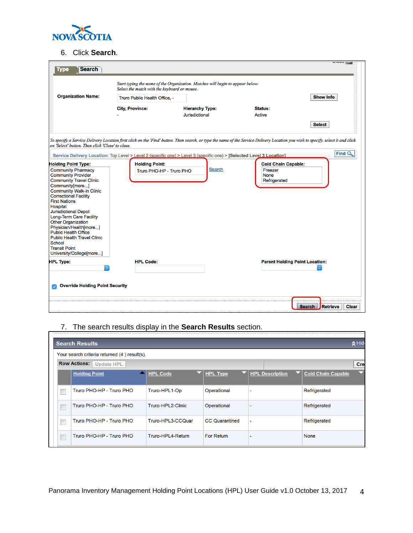

# 6. Click **Search**.

| <b>Search</b><br><b>Tvpe</b>                                                                                                                                                                                                                                                                                                                                                                                                                                           |                                              |                                                                                                                                                                                                                                                                                                          |                                        | <b>UNUU WA</b>                            |
|------------------------------------------------------------------------------------------------------------------------------------------------------------------------------------------------------------------------------------------------------------------------------------------------------------------------------------------------------------------------------------------------------------------------------------------------------------------------|----------------------------------------------|----------------------------------------------------------------------------------------------------------------------------------------------------------------------------------------------------------------------------------------------------------------------------------------------------------|----------------------------------------|-------------------------------------------|
|                                                                                                                                                                                                                                                                                                                                                                                                                                                                        | Select the match with the keyboard or mouse. | Start typing the name of the Organization. Matches will begin to appear below.                                                                                                                                                                                                                           |                                        |                                           |
| <b>Organization Name:</b>                                                                                                                                                                                                                                                                                                                                                                                                                                              | Truro Public Health Office, -                |                                                                                                                                                                                                                                                                                                          |                                        | <b>Show Info</b>                          |
|                                                                                                                                                                                                                                                                                                                                                                                                                                                                        | <b>City, Province:</b>                       | <b>Hierarchy Type:</b><br><b>Jurisdictional</b>                                                                                                                                                                                                                                                          | Status:<br><b>Active</b>               |                                           |
| on 'Select' button. Then click 'Close' to close.                                                                                                                                                                                                                                                                                                                                                                                                                       |                                              | To specify a Service Delivery Location first click on the 'Find' button. Then search, or type the name of the Service Delivery Location you wish to specify, select it and click<br>Service Delivery Location: Top Level > Level 2 (specific one) > Level 3 (specific one) > [Selected Level 3 Location] |                                        | <b>Select</b><br>Find <sub>Q</sub>        |
| <b>Holding Point Type:</b>                                                                                                                                                                                                                                                                                                                                                                                                                                             | <b>Holding Point:</b>                        |                                                                                                                                                                                                                                                                                                          | <b>Cold Chain Capable:</b>             |                                           |
| <b>Community Pharmacy</b><br><b>Community Provider</b><br><b>Community Travel Clinic</b><br>Community[more]<br><b>Community Walk-in Clinic</b><br><b>Correctional Facility</b><br><b>First Nations</b><br>Hospital<br><b>Jurisdictional Depot</b><br>Long-Term Care Facility<br><b>Other Organization</b><br>Physician/Health[more]<br><b>Public Health Office</b><br><b>Public Health Travel Clinic</b><br>School<br><b>Transit Point</b><br>University/College[more] | Truro PHO-HP - Truro PHO                     | Search                                                                                                                                                                                                                                                                                                   | Freezer<br><b>None</b><br>Refrigerated |                                           |
| <b>HPL Type:</b>                                                                                                                                                                                                                                                                                                                                                                                                                                                       | <b>HPL Code:</b>                             |                                                                                                                                                                                                                                                                                                          | <b>Parent Holding Point Location:</b>  |                                           |
| <b>Override Holding Point Security</b>                                                                                                                                                                                                                                                                                                                                                                                                                                 |                                              |                                                                                                                                                                                                                                                                                                          |                                        | Retrieve<br><b>Clear</b><br><b>Search</b> |

# 7. The search results display in the **Search Results** section.

| A Hide<br><b>Search Results</b>                 |                   |                       |                          |                                |  |  |
|-------------------------------------------------|-------------------|-----------------------|--------------------------|--------------------------------|--|--|
| Your search criteria returned (4) result(s).    |                   |                       |                          |                                |  |  |
| <b>Row Actions:</b><br><b>Update HPL</b><br>Cre |                   |                       |                          |                                |  |  |
| <b>Holding Point</b>                            | <b>HPL Code</b>   | <b>HPL Type</b>       | <b>HPL Description</b>   | 5<br><b>Cold Chain Capable</b> |  |  |
| Truro PHO-HP - Truro PHO                        | Truro-HPL1-Op     | Operational           | $\overline{a}$           | Refrigerated                   |  |  |
| Truro PHO-HP - Truro PHO                        | Truro-HPL2-Clinic | Operational           | ٠                        | Refrigerated                   |  |  |
| Truro PHO-HP - Truro PHO                        | Truro-HPL3-CCQuar | <b>CC</b> Quarantined | $\overline{\phantom{a}}$ | Refrigerated                   |  |  |
| Truro PHO-HP - Truro PHO                        | Truro-HPL4-Return | <b>For Return</b>     |                          | None                           |  |  |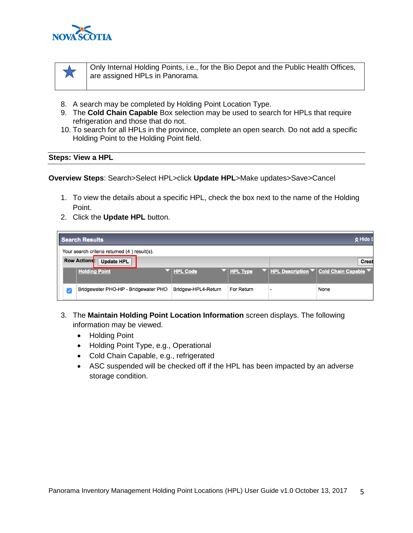

 $\overline{\mathbf{M}}$ 

Only Internal Holding Points, i.e., for the Bio Depot and the Public Health Offices, are assigned HPLs in Panorama.

- 8. A search may be completed by Holding Point Location Type.
- 9. The **Cold Chain Capable** Box selection may be used to search for HPLs that require refrigeration and those that do not.
- 10. To search for all HPLs in the province, complete an open search. Do not add a specific Holding Point to the Holding Point field.

#### <span id="page-4-0"></span>**Steps: View a HPL**

**Overview Steps**: Search>Select HPL>click **Update HPL**>Make updates>Save>Cancel

- 1. To view the details about a specific HPL, check the box next to the name of the Holding Point.
- 2. Click the **Update HPL** button.

|                                              | Search Results                           |                     |                 |  | k Hide S                                                                                                                       |  |  |
|----------------------------------------------|------------------------------------------|---------------------|-----------------|--|--------------------------------------------------------------------------------------------------------------------------------|--|--|
| Your search criteria returned (4) result(s). |                                          |                     |                 |  |                                                                                                                                |  |  |
|                                              | <b>Row Actions:</b><br><b>Update HPL</b> |                     |                 |  | <b>Creat</b>                                                                                                                   |  |  |
|                                              | <b>Holding Point</b>                     | <b>HPL Code</b>     | <b>HPL Type</b> |  | $\blacktriangledown$ <b>HPL Description <math>\blacktriangledown</math> Cold Chain Capable <math>\blacktriangledown</math></b> |  |  |
| $\sqrt{}$                                    | Bridgewater PHO-HP - Bridgewater PHO     | Bridgew-HPL4-Return | For Return      |  | <b>None</b>                                                                                                                    |  |  |

- 3. The **Maintain Holding Point Location Information** screen displays. The following information may be viewed.
	- Holding Point
	- Holding Point Type, e.g., Operational
	- Cold Chain Capable, e.g., refrigerated
	- ASC suspended will be checked off if the HPL has been impacted by an adverse storage condition.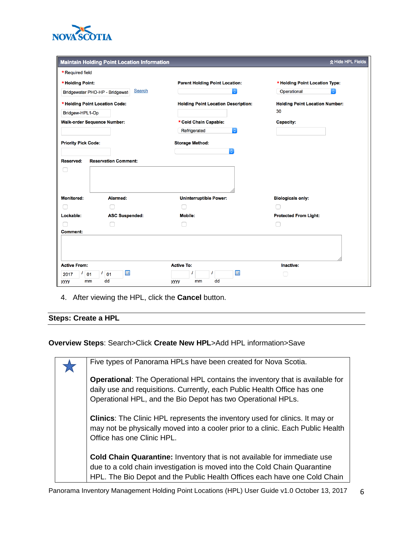

|                            | <b>Maintain Holding Point Location Information</b> |                                            | ☆ Hide HPL Fields                     |
|----------------------------|----------------------------------------------------|--------------------------------------------|---------------------------------------|
| * Required field           |                                                    |                                            |                                       |
| * Holding Point:           |                                                    | <b>Parent Holding Point Location:</b>      | * Holding Point Location Type:        |
|                            | Search<br>Bridgewater PHO-HP - Bridgewat           |                                            | Operational<br>$ \hat{\phi} $         |
|                            | * Holding Point Location Code:                     | <b>Holding Point Location Description:</b> | <b>Holding Point Location Number:</b> |
| Bridgew-HPL1-Op            |                                                    |                                            | 30                                    |
|                            | <b>Walk-order Sequence Number:</b>                 | * Cold Chain Capable:                      | Capacity:                             |
|                            |                                                    | Refrigerated<br>$\mathbb{C}^2$             |                                       |
| <b>Priority Pick Code:</b> |                                                    | <b>Storage Method:</b>                     |                                       |
|                            |                                                    |                                            |                                       |
| <b>Reserved:</b>           | <b>Reservation Comment:</b>                        |                                            |                                       |
|                            |                                                    |                                            |                                       |
| <b>Monitored:</b>          | Alarmed:                                           | <b>Uninterruptible Power:</b>              | <b>Biologicals only:</b>              |
|                            |                                                    |                                            |                                       |
| Lockable:                  | <b>ASC Suspended:</b>                              | <b>Mobile:</b>                             | <b>Protected From Light:</b>          |
| <b>Comment:</b>            |                                                    |                                            |                                       |
|                            |                                                    |                                            |                                       |
| <b>Active From:</b>        |                                                    | <b>Active To:</b>                          | Inactive:                             |
| 01<br>2017                 | 噩<br>01                                            | 囲                                          |                                       |
| mm<br><b>уууу</b>          | dd                                                 | dd<br>уууу<br>mm                           |                                       |

4. After viewing the HPL, click the **Cancel** button.

# <span id="page-5-0"></span>**Steps: Create a HPL**

# **Overview Steps**: Search>Click **Create New HPL**>Add HPL information>Save

| Five types of Panorama HPLs have been created for Nova Scotia.                                                                                                                                                                            |
|-------------------------------------------------------------------------------------------------------------------------------------------------------------------------------------------------------------------------------------------|
| <b>Operational:</b> The Operational HPL contains the inventory that is available for<br>daily use and requisitions. Currently, each Public Health Office has one<br>Operational HPL, and the Bio Depot has two Operational HPLs.          |
| <b>Clinics:</b> The Clinic HPL represents the inventory used for clinics. It may or<br>may not be physically moved into a cooler prior to a clinic. Each Public Health<br>Office has one Clinic HPL.                                      |
| <b>Cold Chain Quarantine:</b> Inventory that is not available for immediate use<br>due to a cold chain investigation is moved into the Cold Chain Quarantine<br>HPL. The Bio Depot and the Public Health Offices each have one Cold Chain |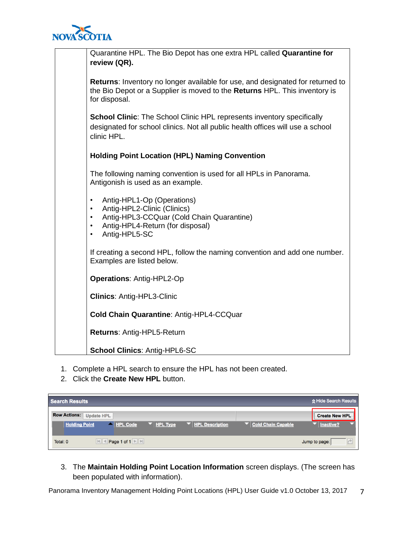

| Quarantine HPL. The Bio Depot has one extra HPL called Quarantine for<br>review (QR).                                                                                                                                        |
|------------------------------------------------------------------------------------------------------------------------------------------------------------------------------------------------------------------------------|
| <b>Returns:</b> Inventory no longer available for use, and designated for returned to<br>the Bio Depot or a Supplier is moved to the Returns HPL. This inventory is<br>for disposal.                                         |
| <b>School Clinic:</b> The School Clinic HPL represents inventory specifically<br>designated for school clinics. Not all public health offices will use a school<br>clinic HPL.                                               |
| <b>Holding Point Location (HPL) Naming Convention</b>                                                                                                                                                                        |
| The following naming convention is used for all HPLs in Panorama.<br>Antigonish is used as an example.                                                                                                                       |
| Antig-HPL1-Op (Operations)<br>$\bullet$<br>Antig-HPL2-Clinic (Clinics)<br>$\bullet$<br>Antig-HPL3-CCQuar (Cold Chain Quarantine)<br>$\bullet$<br>Antig-HPL4-Return (for disposal)<br>$\bullet$<br>Antig-HPL5-SC<br>$\bullet$ |
| If creating a second HPL, follow the naming convention and add one number.<br>Examples are listed below.                                                                                                                     |
| <b>Operations: Antig-HPL2-Op</b>                                                                                                                                                                                             |
| <b>Clinics: Antig-HPL3-Clinic</b>                                                                                                                                                                                            |
| Cold Chain Quarantine: Antig-HPL4-CCQuar                                                                                                                                                                                     |
| Returns: Antig-HPL5-Return                                                                                                                                                                                                   |
| <b>School Clinics: Antig-HPL6-SC</b>                                                                                                                                                                                         |

- 1. Complete a HPL search to ensure the HPL has not been created.
- 2. Click the **Create New HPL** button.

| <b>Search Results</b> |                   |          |                 |                             | ☆ Hide Search Results |
|-----------------------|-------------------|----------|-----------------|-----------------------------|-----------------------|
| <b>Row Actions:</b>   | <b>Update HPL</b> |          |                 |                             | <b>Create New HPL</b> |
| <b>Holding Point</b>  | A HPL Code        | HPL Type | HPL Description | <b>F</b> Cold Chain Capable | Inactive?             |
| Total: 0              | Page 1 of 1       |          |                 |                             | Jump to page:         |

3. The **Maintain Holding Point Location Information** screen displays. (The screen has been populated with information).

Panorama Inventory Management Holding Point Locations (HPL) User Guide v1.0 October 13, 2017 7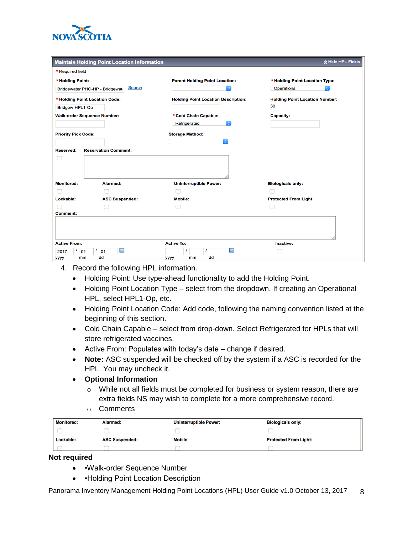

|                                              |                                                 | <b>Maintain Holding Point Location Information</b> |                                       |
|----------------------------------------------|-------------------------------------------------|----------------------------------------------------|---------------------------------------|
| * Required field                             |                                                 |                                                    |                                       |
| * Holding Point:                             |                                                 | <b>Parent Holding Point Location:</b>              | * Holding Point Location Type:        |
|                                              | <b>Search</b><br>Bridgewater PHO-HP - Bridgewat | $ \hat{\mathbf{c}} $                               | Operational<br>$ \diamond\rangle$     |
|                                              | * Holding Point Location Code:                  | <b>Holding Point Location Description:</b>         | <b>Holding Point Location Number:</b> |
| Bridgew-HPL1-Op                              |                                                 |                                                    | 30                                    |
|                                              | <b>Walk-order Sequence Number:</b>              | * Cold Chain Capable:                              | <b>Capacity:</b>                      |
|                                              |                                                 | $ \hat{\mathbf{c}} $<br>Refrigerated               |                                       |
| <b>Priority Pick Code:</b>                   |                                                 | <b>Storage Method:</b>                             |                                       |
|                                              |                                                 | юI                                                 |                                       |
| <b>Reserved:</b>                             | <b>Reservation Comment:</b>                     |                                                    |                                       |
|                                              |                                                 |                                                    |                                       |
| <b>Monitored:</b>                            | Alarmed:                                        | <b>Uninterruptible Power:</b>                      | <b>Biologicals only:</b>              |
|                                              |                                                 |                                                    |                                       |
|                                              |                                                 |                                                    | <b>Protected From Light:</b>          |
|                                              | <b>ASC Suspended:</b>                           | <b>Mobile:</b>                                     |                                       |
|                                              |                                                 |                                                    |                                       |
|                                              |                                                 |                                                    |                                       |
|                                              |                                                 |                                                    |                                       |
| Lockable:<br>Comment:<br><b>Active From:</b> |                                                 | <b>Active To:</b>                                  | Inactive:                             |
| 01<br>2017                                   | 噩<br>01                                         | 噩                                                  |                                       |

- 4. Record the following HPL information.
	- Holding Point: Use type-ahead functionality to add the Holding Point.
	- Holding Point Location Type select from the dropdown. If creating an Operational HPL, select HPL1-Op, etc.
	- Holding Point Location Code: Add code, following the naming convention listed at the beginning of this section.
	- Cold Chain Capable select from drop-down. Select Refrigerated for HPLs that will store refrigerated vaccines.
	- Active From: Populates with today's date change if desired.
	- **Note:** ASC suspended will be checked off by the system if a ASC is recorded for the HPL. You may uncheck it.
	- **Optional Information**
		- $\circ$  While not all fields must be completed for business or system reason, there are extra fields NS may wish to complete for a more comprehensive record.
		- o Comments

| <b>Monitored:</b> | Alarmed:              | <b>Uninterruptible Power:</b> | <b>Biologicals only:</b>     |
|-------------------|-----------------------|-------------------------------|------------------------------|
|                   |                       |                               |                              |
| Lockable:         | <b>ASC Suspended:</b> | <b>Mobile:</b>                | <b>Protected From Light:</b> |
|                   |                       |                               |                              |

**Not required**

- •Walk-order Sequence Number
- • Holding Point Location Description

Panorama Inventory Management Holding Point Locations (HPL) User Guide v1.0 October 13, 2017 8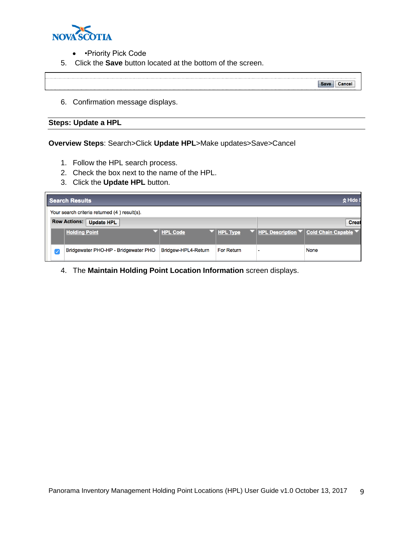

- • Priority Pick Code
- 5. Click the **Save** button located at the bottom of the screen.

Save Cancel

6. Confirmation message displays.

# <span id="page-8-0"></span>**Steps: Update a HPL**

**Overview Steps**: Search>Click **Update HPL**>Make updates>Save>Cancel

- 1. Follow the HPL search process.
- 2. Check the box next to the name of the HPL.
- 3. Click the **Update HPL** button.

| Search Results |   |                                              |                     |                 |                          |                                                 |  |
|----------------|---|----------------------------------------------|---------------------|-----------------|--------------------------|-------------------------------------------------|--|
|                |   | Your search criteria returned (4) result(s). |                     |                 |                          |                                                 |  |
|                |   | <b>Row Actions: Update HPL</b>               | <b>Creat</b>        |                 |                          |                                                 |  |
|                |   | <b>Holding Point</b>                         | <b>HPL Code</b>     | <b>HPL Type</b> |                          | ▼ <u>HPL Description</u> ▼ Cold Chain Capable ▼ |  |
|                | ✓ | Bridgewater PHO-HP - Bridgewater PHO         | Bridgew-HPL4-Return | For Return      | $\overline{\phantom{0}}$ | <b>None</b>                                     |  |

4. The **Maintain Holding Point Location Information** screen displays.